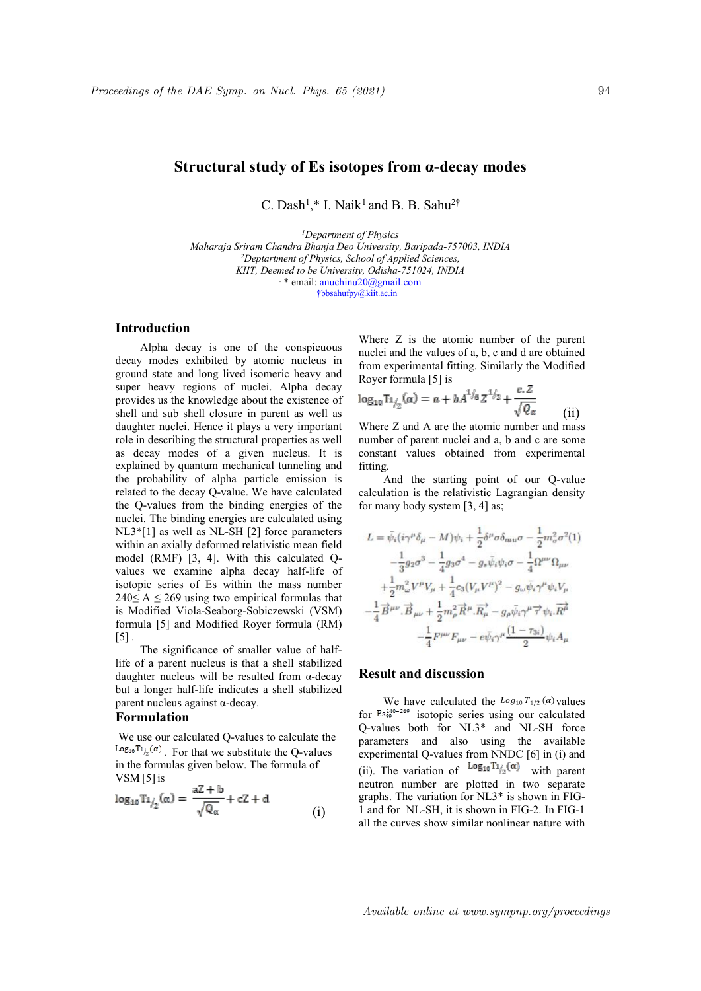# **Structural study of Es isotopes from α-decay modes**

C. Dash<sup>1</sup>,\* I. Naik<sup>1</sup> and B. B. Sahu<sup>2†</sup>

*<sup>1</sup>Department of Physics Maharaja Sriram Chandra Bhanja Deo University, Baripada-757003, INDIA <sup>2</sup>Deptartment of Physics, School of Applied Sciences, KIIT, Deemed to beUniversity, Odisha-751024, INDIA* . \* email: anuchinu20@gmail.com †bbsahufpy@kiit.ac.in

## **Introduction**

Alpha decay is one of the conspicuous decay modes exhibited by atomic nucleus in ground state and long lived isomeric heavy and super heavy regions of nuclei. Alpha decay provides us the knowledge about the existence of shell and sub shell closure in parent as well as daughter nuclei. Hence it plays a very important role in describing the structural properties as well as decay modes of a given nucleus. It is explained by quantum mechanical tunneling and fitting. the probability of alpha particle emission is related to the decay Q-value. We have calculated the Q-values from the binding energies of the nuclei. The binding energies are calculated using NL3\*[1] as well as NL-SH [2] force parameters within an axially deformed relativistic mean field model (RMF) [3, 4]. With this calculated Qvalues we examine alpha decay half-life of isotopic series of Es within the mass number  $240\leq A \leq 269$  using two empirical formulas that is Modified Viola-Seaborg-Sobiczewski (VSM) formula [5] and Modified Royer formula (RM)  $\lceil 5 \rceil$ .

The significance of smaller value of halflife of a parent nucleus is that a shell stabilized daughter nucleus will be resulted from α-decay but a longer half-life indicates a shell stabilized parent nucleus against α-decay.

### **Formulation**

We use our calculated Q-values to calculate the  ${}^{\tt Log_{10}T\it {1/}_2(\alpha)}$  . For that we substitute the Q-values in the formulas given below. The formula of VSM [5]is

$$
\log_{10} T_{1/2}(\alpha) = \frac{aZ + b}{\sqrt{Q_{\alpha}}} + cZ + d
$$
 (i)

Where Z is the atomic number of the parent nuclei and the values of a, b, c and d are obtained from experimental fitting. Similarly the Modified Royer formula [5] is

$$
\log_{10} \text{Tr}_{/2}(\alpha) = \alpha + b A^{1/6} Z^{1/2} + \frac{c Z}{\sqrt{Q_{\alpha}}}
$$
 (ii)

Where Z and A are the atomic number and mass number of parent nuclei and a, b and c are some constant values obtained from experimental

And the starting point of our Q-value calculation is the relativistic Lagrangian density for many body system [3, 4] as;

$$
\begin{split} L&=\bar{\psi_i}(i\gamma^\mu\delta_\mu-M)\psi_i+\frac{1}{2}\delta^\mu\sigma\delta_{mu\sigma}-\frac{1}{2}m_\sigma^2\sigma^2(1)\\ &-\frac{1}{3}g_2\sigma^3-\frac{1}{4}g_3\sigma^4-g_s\bar{\psi}_i\psi_i\sigma-\frac{1}{4}\Omega^{\mu\nu}\Omega_{\mu\nu}\\ &+\frac{1}{2}m_\omega^2V^\mu V_\mu+\frac{1}{4}c_3(V_\mu V^\mu)^2-g_\omega\bar{\psi}_i\gamma^\mu\psi_i V_\mu\\ &-\frac{1}{4}\overrightarrow{B}^{\mu\nu}.\overrightarrow{B}_{\mu\nu}+\frac{1}{2}m_\rho^2\overrightarrow{R}^\mu.\overrightarrow{R}_\mu-g_\rho\bar{\psi}_i\gamma^\mu\overrightarrow{\tau}\psi_i.\overrightarrow{R}^\mu\\ &-\frac{1}{4}F^{\mu\nu}F_{\mu\nu}-e\bar{\psi}_i\gamma^\mu\frac{(1-\tau_{3i})}{2}\psi_i A_\mu \end{split}
$$

#### **Result and discussion**

graphs. The variation for NL3<sup>\*</sup> is shown in FIG-<br>(i) 1 and for NL-SH, it is shown in FIG-2. In FIG-1 We have calculated the  $Log_{10}T_{1/2}(\alpha)$  values for  $E_s^{240-269}$  isotopic series using our calculated Q-values both for NL3\* and NL-SH force parameters and also using the available experimental Q-values from NNDC [6] in (i) and (ii). The variation of  $\text{Log}_{10} \text{Tr}_{/2}(\alpha)$  with parent neutron number are plotted in two separate<br>graphs. The variation for NL3<sup>\*</sup> is shown in FIGall the curves show similar nonlinear nature with